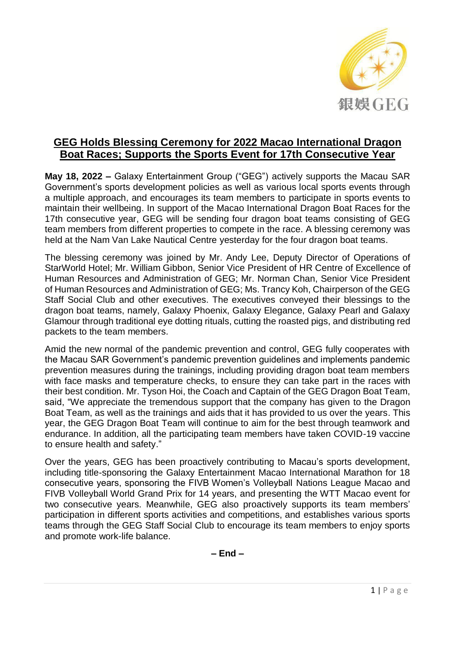

## **GEG Holds Blessing Ceremony for 2022 Macao International Dragon Boat Races; Supports the Sports Event for 17th Consecutive Year**

**May 18, 2022 –** Galaxy Entertainment Group ("GEG") actively supports the Macau SAR Government's sports development policies as well as various local sports events through a multiple approach, and encourages its team members to participate in sports events to maintain their wellbeing. In support of the Macao International Dragon Boat Races for the 17th consecutive year, GEG will be sending four dragon boat teams consisting of GEG team members from different properties to compete in the race. A blessing ceremony was held at the Nam Van Lake Nautical Centre yesterday for the four dragon boat teams.

The blessing ceremony was joined by Mr. Andy Lee, Deputy Director of Operations of StarWorld Hotel; Mr. William Gibbon, Senior Vice President of HR Centre of Excellence of Human Resources and Administration of GEG; Mr. Norman Chan, Senior Vice President of Human Resources and Administration of GEG; Ms. Trancy Koh, Chairperson of the GEG Staff Social Club and other executives. The executives conveyed their blessings to the dragon boat teams, namely, Galaxy Phoenix, Galaxy Elegance, Galaxy Pearl and Galaxy Glamour through traditional eye dotting rituals, cutting the roasted pigs, and distributing red packets to the team members.

Amid the new normal of the pandemic prevention and control, GEG fully cooperates with the Macau SAR Government's pandemic prevention guidelines and implements pandemic prevention measures during the trainings, including providing dragon boat team members with face masks and temperature checks, to ensure they can take part in the races with their best condition. Mr. Tyson Hoi, the Coach and Captain of the GEG Dragon Boat Team, said, "We appreciate the tremendous support that the company has given to the Dragon Boat Team, as well as the trainings and aids that it has provided to us over the years. This year, the GEG Dragon Boat Team will continue to aim for the best through teamwork and endurance. In addition, all the participating team members have taken COVID-19 vaccine to ensure health and safety."

Over the years, GEG has been proactively contributing to Macau's sports development, including title-sponsoring the Galaxy Entertainment Macao International Marathon for 18 consecutive years, sponsoring the FIVB Women's Volleyball Nations League Macao and FIVB Volleyball World Grand Prix for 14 years, and presenting the WTT Macao event for two consecutive years. Meanwhile, GEG also proactively supports its team members' participation in different sports activities and competitions, and establishes various sports teams through the GEG Staff Social Club to encourage its team members to enjoy sports and promote work-life balance.

**– End –**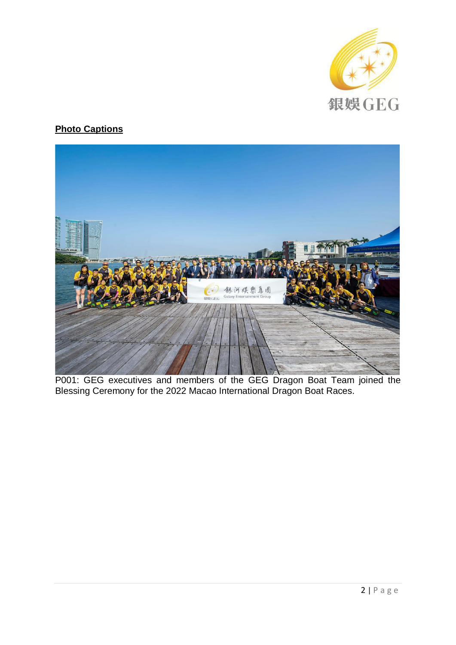

## **Photo Captions**



P001: GEG executives and members of the GEG Dragon Boat Team joined the Blessing Ceremony for the 2022 Macao International Dragon Boat Races.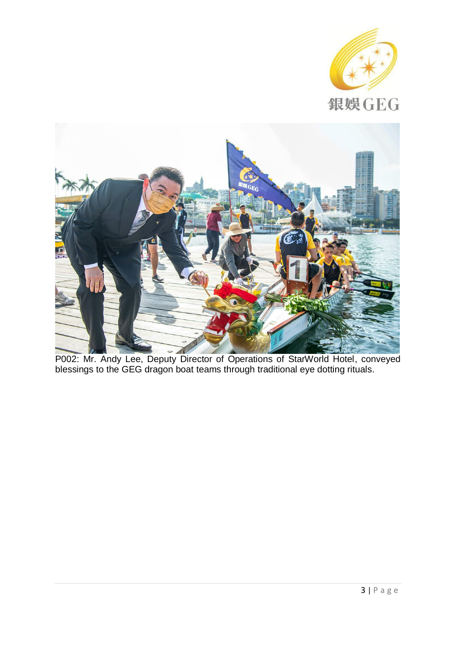



P002: Mr. Andy Lee, Deputy Director of Operations of StarWorld Hotel, conveyed blessings to the GEG dragon boat teams through traditional eye dotting rituals.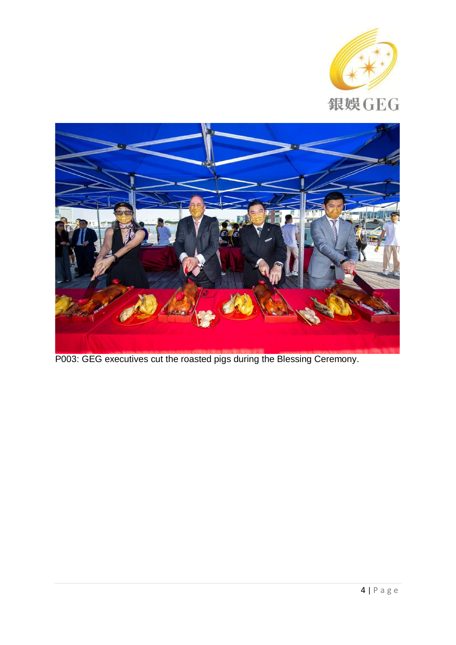



P003: GEG executives cut the roasted pigs during the Blessing Ceremony.